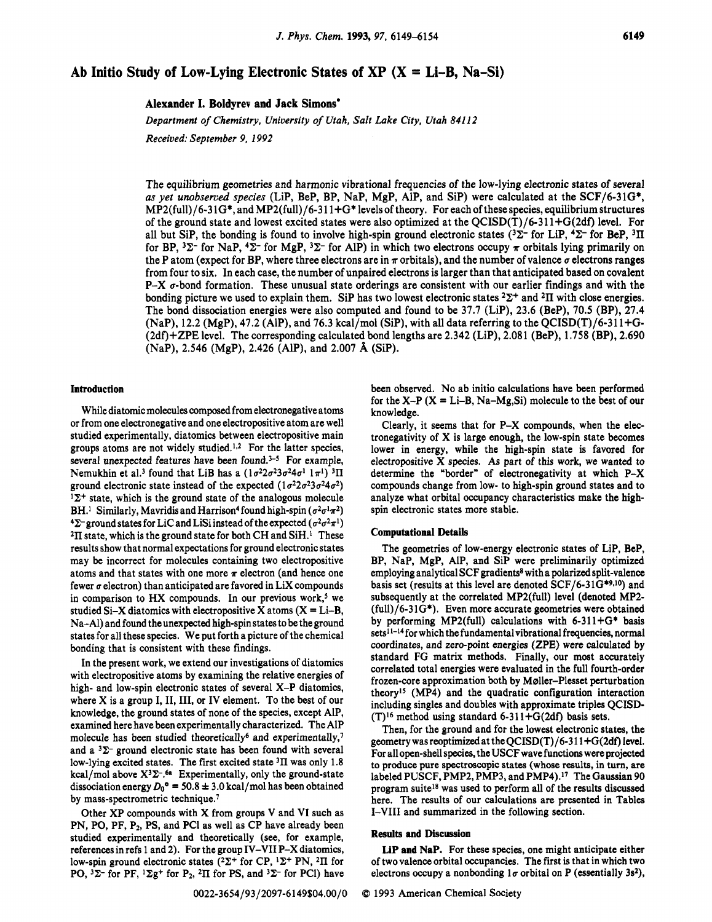# **Ab Initio Study of Low-Lying Electronic States of XP (X** = **Li-B, Na-Si)**

**Alexander I. Boldyrev and Jack Simons.** 

*Department of Chemistry, University of Utah, Salt Lake City, Utah 841 12* 

*Received: September 9, 1992* 

The equilibrium geometries and harmonic vibrational frequencies of the low-lying electronic states of several as *yet unobserved species* (Lip, BeP, BP, Nap, MgP, Alp, and Sip) were calculated at the SCF/6-31G\*, MP2(fu11)/6-3 1G\*, and MP2(fu11)/6-3 1 1+G\* levels of theory. For each of these species, equilibrium structures of the ground state and lowest excited states were also optimized at the QCISD(T)/6-311+G(2df) level. For all but SiP, the bonding is found to involve high-spin ground electronic states  $(3\Sigma^-$  for LiP,  $4\Sigma^-$  for BeP,  $3\Pi$ for BP,  ${}^{3}\Sigma^{-}$  for NaP,  ${}^{4}\Sigma^{-}$  for MgP,  ${}^{3}\Sigma^{-}$  for AlP) in which two electrons occupy  $\pi$  orbitals lying primarily on the P atom (expect for BP, where three electrons are in  $\pi$  orbitals), and the number of valence  $\sigma$  electrons ranges from four to six. In each case, the number of unpaired electrons is larger than that anticipated based on covalent  $P-X$   $\sigma$ -bond formation. These unusual state orderings are consistent with our earlier findings and with the bonding picture we used to explain them. Sip has two lowest electronic states *22+* and **211** with close energies. The bond dissociation energies were also computed and found to be 37.7 (Lip), 23.6 (BeP), 70.5 (BP), 27.4  $(NaP), 12.2$  (MgP), 47.2 (AlP), and 76.3 kcal/mol (SiP), with all data referring to the OCISD(T)/6-311+G-(2df)+ZPE level. The corresponding calculated bond lengths are 2.342 (Lip), 2.081 (BeP), 1.758 (BP), 2.690 (Nap), 2.546 (MgP), 2.426 (Alp), and 2.007 **A** (Sip).

# **Introduction**

While diatomic molecules composed from electronegative atoms or from one electronegative and one electropositive atom are well studied experimentally, diatomics between electropositive main groups atoms are not widely studied.<sup>1,2</sup> For the latter species, several unexpected features have been found. $3-5$  For example, Nemukhin et al.<sup>3</sup> found that LiB has a  $(1\sigma^2 2\sigma^2 3\sigma^2 4\sigma^1 1\pi^1)$ <sup>3</sup>II ground electronic state instead of the expected  $(1\sigma^2 2\sigma^2 3\sigma^2 4\sigma^2)$  $1\Sigma^+$  state, which is the ground state of the analogous molecule BH.<sup>1</sup> Similarly, Mavridis and Harrison<sup>4</sup> found high-spin ( $\sigma^2 \sigma^1 \pi^2$ )  $\sum$  ground states for LiC and LiSi instead of the expected ( $\sigma^2 \sigma^2 \pi^1$ ) <sup>2</sup>II state, which is the ground state for both CH and SiH.<sup>1</sup> These results show that normal expectations for ground electronic states may be incorrect for molecules containing two electropositive atoms and that states with one more  $\pi$  electron (and hence one fewer  $\sigma$  electron) than anticipated are favored in LiX compounds in comparison to HX compounds. In our previous work,<sup>5</sup> we studied Si-X diatomics with electropositive X atoms  $(X = Li-B)$ , Na-A1) and found the unexpected high-spin states to be theground states for all these species. We put forth a picture of thechemical bonding that is consistent with these findings.

In the present work, we extend our investigations of diatomics with electropositive atoms by examining the relative energies of high- and low-spin electronic states of several X-P diatomics, where  $X$  is a group I, II, III, or IV element. To the best of our knowledge, the ground states of none of the species, except Alp, examined here have been experimentally characterized. The A1P molecule has been studied theoretically<sup>6</sup> and experimentally,<sup>7</sup> and a  $3\Sigma$ - ground electronic state has been found with several low-lying excited states. The first excited state <sup>3</sup>II was only 1.8 kcal/mol above  $X^3\Sigma^{-,6a}$  Experimentally, only the ground-state dissociation energy  $D_0^{\circ} = 50.8 \pm 3.0$  kcal/mol has been obtained by mass-spectrometric technique.<sup>7</sup>

Other XP compounds with X from groups V and VI such as PN, PO, PF, P<sub>2</sub>, PS, and PCI as well as CP have already been studied experimentally and theoretically (see, for example, references in refs 1 and 2). For the group IV-VI1 P-X diatomics, low-spin ground electronic states  $(^{2}\Sigma^{+}$  for CP,  $^{1}\Sigma^{+}$  PN,  $^{2}\Pi$  for PO,  $3\Sigma$ - for PF,  $1\Sigma g$ <sup>+</sup> for P<sub>2</sub>,  $2\Pi$  for PS, and  $3\Sigma$ - for PCl) have been observed. No ab initio calculations have been performed for the X-P  $(X = Li-B, Na-Mg,Si)$  molecule to the best of our knowledge.

Clearly, it seems that for P-X compounds, when the electronegativity of X is large enough, the low-spin state becomes lower in energy, while the high-spin state is favored for electropositive X species. As part of this work, we wanted to determine the "border" of electronegativity at which P-X compounds change from low- to high-spin ground states and to analyze what orbital occupancy characteristics make the highspin electronic states more stable.

# **Computational** Details

The geometries of low-energy electronic states of Lip, BeP, BP, NaP, MgP, AlP, and SiP were preliminarily optimized employing analytical SCF gradients<sup>8</sup> with a polarized split-valence basis set (results at this level are denoted  $SCF/6-31G^{*9,10}$ ) and subsequently at the correlated MPZ(ful1) level (denoted MP2-  $(full)/6-31G^*$ ). Even more accurate geometries were obtained by performing MP2(full) calculations with  $6-311+G^*$  basis sets<sup>11-14</sup> for which the fundamental vibrational frequencies, normal coordinates, and zero-point energies (ZPE) were calculated by standard FG matrix methods. Finally, our most accurately correlated total energies were evaluated in the full fourth-order frozen-core approximation both by Maller-Plesset perturbation theory15 (MP4) and the quadratic configuration interaction including singles and doubles with approximate triples QCISD-  $(T)$ <sup>16</sup> method using standard 6-311+G(2df) basis sets.

Then, for the ground and for the lowest electronic states, the geometry was reoptimized at the  $OCISD(T)/6-311+G(2df)$  level. For all open-shell species, the USCF wave functions were projected to produce pure spectroscopic states (whose results, **in** turn, are labeled PUSCF, PMP2, PMP3, and PMP4).<sup>17</sup> The Gaussian 90 program suite<sup>18</sup> was used to perform all of the results discussed here. The results of our calculations are presented in Tables I-VI11 and summarized in the following section.

#### **Results and Discussion**

**LIP** and **Nap.** For these species, one might anticipate either of two valence orbital occupancies. The first is that in which two electrons occupy a nonbonding  $1\sigma$  orbital on P (essentially 3s<sup>2</sup>),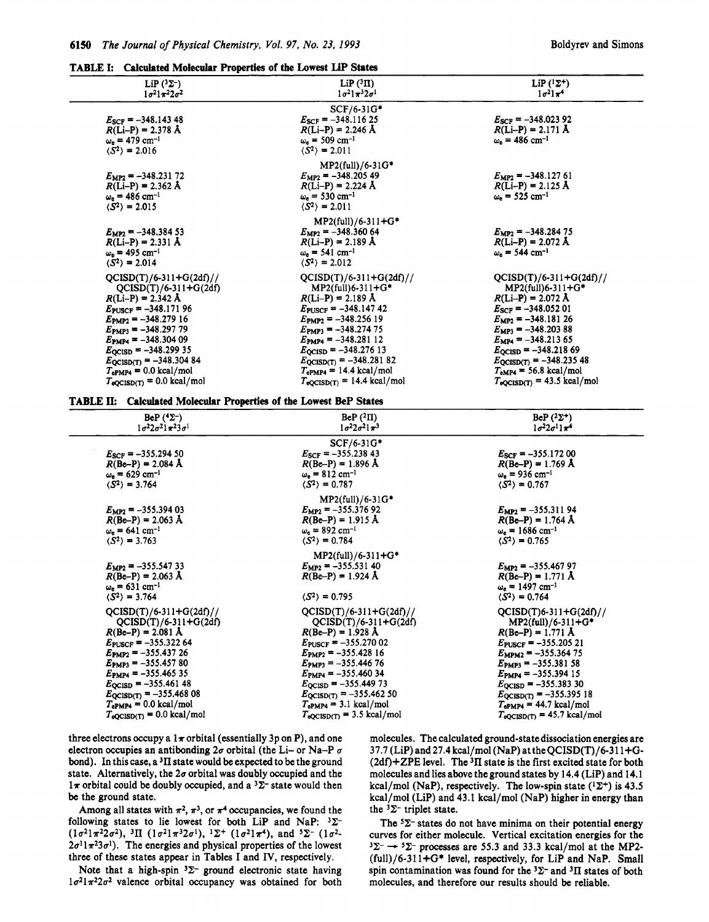## **TABLE I: Calculated Molecular Properties of the Lowest UP States**

| LiP $(^{3}\Sigma^{-})$<br>$1\sigma^2 1\pi^2 2\sigma^2$                                                                                                                                                                                                                                                                                                                | $\text{LiP} (^{3} \Pi)$<br>$1\sigma^2$ $1\pi^3$ $2\sigma^1$                                                                                                                                                                                                                                                                                                       | LiP $(^1\Sigma^+)$<br>$1\sigma^2$ $1\pi^4$                                                                                                                                                                                                                                                                                      |  |
|-----------------------------------------------------------------------------------------------------------------------------------------------------------------------------------------------------------------------------------------------------------------------------------------------------------------------------------------------------------------------|-------------------------------------------------------------------------------------------------------------------------------------------------------------------------------------------------------------------------------------------------------------------------------------------------------------------------------------------------------------------|---------------------------------------------------------------------------------------------------------------------------------------------------------------------------------------------------------------------------------------------------------------------------------------------------------------------------------|--|
| $E_{SCF}$ = -348.143 48<br>$R(Li-P) = 2.378$ Å<br>$\omega_e = 479$ cm <sup>-1</sup><br>$\langle S^2 \rangle = 2.016$                                                                                                                                                                                                                                                  | $SCF/6-31G*$<br>$E_{SCF}$ = -348.116 25<br>$R(Li-P) = 2.246 \text{ Å}$<br>$\omega_e$ = 509 cm <sup>-1</sup><br>$\langle S^2 \rangle = 2.011$                                                                                                                                                                                                                      | $E_{SCF} = -348.02392$<br>$R(Li-P) = 2.171 \text{ Å}$<br>$\omega_e = 486$ cm <sup>-1</sup>                                                                                                                                                                                                                                      |  |
| $E_{MP2} = -348.23172$<br>$R(Li-P) = 2.362$ Å<br>$\omega_e = 486$ cm <sup>-1</sup><br>$\langle S^2 \rangle = 2.015$                                                                                                                                                                                                                                                   | $MP2(full)/6-31G*$<br>$E_{\rm MP2}$ = -348.205 49<br>$R(Li-P) = 2.224$ Å<br>$\omega_e = 530 \text{ cm}^{-1}$<br>$\langle S^2 \rangle = 2.011$                                                                                                                                                                                                                     | $E_{MP2}$ = -348.127 61<br>$R(Li-P) = 2.125 \text{ Å}$<br>$\omega_e = 525$ cm <sup>-1</sup>                                                                                                                                                                                                                                     |  |
| $E_{MP2} = -348.38453$<br>$R(Li-P) = 2.331 \text{ Å}$<br>$\omega_e = 495$ cm <sup>-1</sup><br>$\langle S^2 \rangle = 2.014$                                                                                                                                                                                                                                           | $MP2(full)/6-311+G*$<br>$E_{MP2} = -348.36064$<br>$R(Li-P) = 2.189 \text{ Å}$<br>$\omega_e = 541$ cm <sup>-1</sup><br>$\langle S^2 \rangle = 2.012$                                                                                                                                                                                                               | $E_{\rm MP2} = -348.28475$<br>$R(Li-P) = 2.072 \text{ Å}$<br>$\omega_e = 544$ cm <sup>-1</sup>                                                                                                                                                                                                                                  |  |
| $QCISD(T)/6-311+G(2df)//$<br>$QCISD(T)/6-311+G(2df)$<br>$R(Li-P) = 2.342$ Å<br>$E_{\text{PUSCF}} = -348.17196$<br>$E_{\text{PMP2}} = -348.27916$<br>$E_{\text{PMP3}} = -348.29779$<br>$E_{\text{PMP4}} = -348.30409$<br>$E_{\text{QCISD}} = -348.29935$<br>$E_{QCISD(T)} = -348.30484$<br>$T_{ePMP4} = 0.0$ kcal/mol<br>$T_{\text{eQCISD(T)}} = 0.0 \text{ kcal/mol}$ | $QCISD(T)/6-311+G(2df)//$<br>$MP2$ (full)6-311+G*<br>$R(Li-P) = 2.189 \text{ Å}$<br>$E_{\text{PUSCF}} = -348.14742$<br>$E_{\text{PMP2}} = -348.25619$<br>$E_{\text{PMP3}} = -348.27475$<br>$E_{\text{PMP4}} = -348.28112$<br>$E_{\text{QCISD}} = -348.27613$<br>$E_{QCISD(T)} = -348.28182$<br>$T_{\rm ePMP4}$ = 14.4 kcal/mol<br>$T_{eQCISD(T)} = 14.4$ kcal/mol | $QCISD(T)/6-311+G(2df)//$<br>MP2(full)6-311+G*<br>$R(Li-P) = 2.072 A$<br>$E_{SCF} = -348.05201$<br>$E_{MP2} = -348.18126$<br>$E_{MP3} = -348.20388$<br>$E_{MP4} = -348.21365$<br>$E_{\text{QCISD}} = -348.21869$<br>$E_{QCISD(T)} = -348.23548$<br>$T_{eMP4}$ = 56.8 kcal/mol<br>$T_{\text{eQCISD(T)}} = 43.5 \text{ kcal/mol}$ |  |

**TABLE Ik Calculated Molecular Properties of the Lowest BeP States** 

| BeP $(^{4}\Sigma^{-})$                 |                                                                                                                             | BeP $(^{2}\Pi)$                                                                                                                                         | BeP $(^{2}\Sigma^{+})$                                                                                                       |  |
|----------------------------------------|-----------------------------------------------------------------------------------------------------------------------------|---------------------------------------------------------------------------------------------------------------------------------------------------------|------------------------------------------------------------------------------------------------------------------------------|--|
| $1\sigma^2 2\sigma^2 1\pi^2 3\sigma^1$ |                                                                                                                             | $1\sigma^2 2\sigma^2 1\pi^3$                                                                                                                            | $1\sigma^2 2\sigma^1 1\pi^4$                                                                                                 |  |
|                                        | $E_{SCF} = -355.29450$<br>$R(Be-P) = 2.084 \text{ Å}$<br>$\omega_e = 629$ cm <sup>-1</sup><br>$\langle S^2 \rangle = 3.764$ | SCF/6-31G*<br>$E_{SCF} = -355.23843$<br>$R(Be-P) = 1.896 \text{ Å}$<br>$\omega_e = 812$ cm <sup>-1</sup><br>$\langle S^2 \rangle = 0.787$               | $E_{SCF}$ = -355.172 00<br>$R(Be-P) = 1.769 \text{ Å}$<br>$\omega_e$ = 936 cm <sup>-1</sup><br>$\langle S^2 \rangle = 0.767$ |  |
|                                        | $E_{MP2}$ = -355.394 03<br>$R(Be-P) = 2.063$ Å<br>$\omega_e = 641$ cm <sup>-1</sup><br>$\langle S^2 \rangle = 3.763$        | $MP2(full)/6-31G*$<br>$E_{MP2}$ = -355.376 92<br>$R(Be-P) = 1.915 \text{ Å}$<br>$\omega_{\rm e} = 892 \text{ cm}^{-1}$<br>$\langle S^2 \rangle = 0.784$ | $E_{MP2} = -355.31194$<br>$R(Be-P) = 1.764 \text{ Å}$<br>$\omega_e = 1686$ cm <sup>-1</sup><br>$\langle S^2 \rangle = 0.765$ |  |
|                                        | $E_{MP2} = -355.54733$                                                                                                      | MP2(full)/6-311+G*                                                                                                                                      | $E_{\text{MP2}} = -355.46797$                                                                                                |  |
|                                        | $R(Be-P) = 2.063 \text{ Å}$                                                                                                 | $E_{MP2} = -355.53140$                                                                                                                                  | $R(Be-P) = 1.771 \text{ Å}$                                                                                                  |  |
|                                        | $\omega_e = 631$ cm <sup>-1</sup>                                                                                           | $R(Be-P) = 1.924 \text{ Å}$                                                                                                                             | $\omega_e = 1497$ cm <sup>-1</sup>                                                                                           |  |
|                                        | $\langle S^2 \rangle = 3.764$                                                                                               | $\langle S^2 \rangle = 0.795$                                                                                                                           | $\langle S^2 \rangle = 0.764$                                                                                                |  |
|                                        | $QCISD(T)/6-311+G(2df)//$                                                                                                   | $QCISD(T)/6-311+G(2df)//$                                                                                                                               | $QCISD(T)6-311+G(2df)/7$                                                                                                     |  |
|                                        | $QCISD(T)/6-311+G(2df)$                                                                                                     | $QCISD(T)/6-311+G(2df)$                                                                                                                                 | $MP2(full)/6-311+G*$                                                                                                         |  |
|                                        | $R(Be-P) = 2.081 \text{ Å}$                                                                                                 | $R(Be-P) = 1.928 \text{ Å}$                                                                                                                             | $R(Be-P) = 1.771 \text{ Å}$                                                                                                  |  |
|                                        | $E_{\text{PUSCF}} = -355.32264$                                                                                             | $E_{\text{PUSCF}} = -355.27002$                                                                                                                         | $E_{\text{PUSCF}} = -355.20521$                                                                                              |  |
|                                        | $E_{\text{PMP2}} = -355.43726$                                                                                              | $E_{\text{PMP2}} = -355.42816$                                                                                                                          | $E_{MPM2}$ = -355.364 75                                                                                                     |  |
|                                        | $E_{\text{PMP3}} = -355.45780$                                                                                              | $E_{PMP3}$ = -355.44676                                                                                                                                 | $E_{\text{PMP3}} = -355.38158$                                                                                               |  |
|                                        | $E_{\text{PMP4}} = -355.46535$                                                                                              | $E_{\text{PMP4}} = -355.46034$                                                                                                                          | $E_{\text{PMP4}} = -355.39415$                                                                                               |  |
|                                        | $E_{\text{QCISD}} = -355.46148$                                                                                             | $E_{\text{QCISD}} = -355.449\,73$                                                                                                                       | $E_{\text{QCISD}} = -355.38330$                                                                                              |  |
|                                        | $E_{QCISD(T)} = -355.46808$                                                                                                 | $E_{QCISD(T)} = -355.46250$                                                                                                                             | $E_{QCISD(T)} = -355.39518$                                                                                                  |  |
|                                        | $T_{ePMP4} = 0.0$ kcal/mol                                                                                                  | $T_{ePMP4} = 3.1$ kcal/mol                                                                                                                              | $T_{\rm ePMP4}$ = 44.7 kcal/mol                                                                                              |  |
|                                        | $T_{\text{eQCISD(T)}} = 0.0 \text{ kcal/mol}$                                                                               | $T_{\text{eQCISD(T)}} = 3.5 \text{ kcal/mol}$                                                                                                           | $T_{eQCISD(T)} = 45.7$ kcal/mol                                                                                              |  |

three electrons occupy a  $1\pi$  orbital (essentially 3p on P), and one electron occupies an antibonding  $2\sigma$  orbital (the Li- or Na-P  $\sigma$ bond). In this case, a **3II** state would be expected to be the ground state. Alternatively, the  $2\sigma$  orbital was doubly occupied and the  $1\pi$  orbital could be doubly occupied, and a  $3\Sigma$ <sup>-</sup> state would then be the ground state.

Among all states with  $\pi^2$ ,  $\pi^3$ , or  $\pi^4$  occupancies, we found the following states to lie lowest for both LiP and NaP:  $3\Sigma$ - $(1\sigma^2\pi^22\sigma^2), \, \, \frac{3\Pi}{\Pi} \, (1\sigma^2\pi^32\sigma^1), \, \, \frac{1\Sigma^+}{\Pi} \, (1\sigma^2\pi^4), \, \text{and} \, \, \frac{5\Sigma^-}{\Pi} \, (1\sigma^2\pi^32\sigma^1), \, \, \frac{1\Sigma^+}{\Pi} \, (1\sigma^2\pi^32\sigma^1), \, \, \frac{1\Sigma^+}{\Pi} \, (1\sigma^2\pi^32\sigma^1), \, \, \frac{1\Sigma^+}{\Pi} \, (1\sigma^2\pi^32\sigma^1), \$  $2\sigma^1 1\pi^2 3\sigma^1$ ). The energies and physical properties of the lowest three of these states appear **in** Tables I and IV, respectively.

Note that a high-spin  $3\Sigma$ - ground electronic state having  $1\sigma^2 1\pi^2 2\sigma^2$  valence orbital occupancy was obtained for both molecules. The calculated ground-state dissociation energies are  $37.7$  (LiP) and  $27.4$  kcal/mol (NaP) at the QCISD(T)/6-311+G-(Zdf)+ZPE level. The **311** state is the first excited state for both molecules and lies above theground states by 14.4 (Lip) and 14.1 kcal/mol (NaP), respectively. The low-spin state  $({}^{1}\Sigma^{+})$  is 43.5 kcal/mol (LiP) and 43.1 kcal/mol (NaP) higher in energy than the  ${}^{3}\Sigma^{-}$  triplet state.

The **52-** states do not have minima **on** their potential energy curves for either molecule. Vertical excitation energies for the The <sup>5</sup> $\Sigma$ - states do not have minima on their potential energy<br>curves for either molecule. Vertical excitation energies for the<br> $3\Sigma$ -  $\rightarrow$   $5\Sigma$ - processes are 55.3 and 33.3 kcal/mol at the MP2-<br>(6-1) (6.31) (6.31) C<sub>1</sub>  $(full)/6-311+G*$  level, respectively, for LiP and NaP. Small spin contamination was found for the  ${}^{3}\Sigma^{-}$  and  ${}^{3}\Pi$  states of both molecules, and therefore our results should be reliable.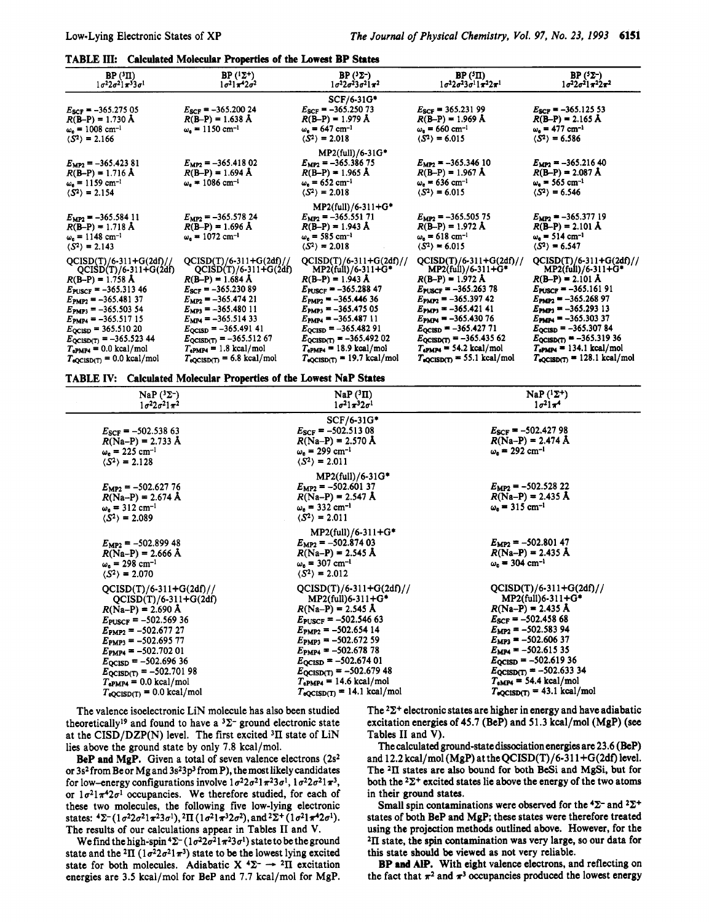| TABLE III: Calculated Molecular Properties of the Lowest BP States |
|--------------------------------------------------------------------|
|--------------------------------------------------------------------|

| BP(3II)<br>$1\sigma^22\sigma^21\pi^33\sigma^1$                                                                                                                                                                                                                                                                                                                      | BP $(1\Sigma^+)$<br>$1\sigma^2 1\pi^4 2\sigma^2$                                                                                                                                                                                                                                                                                                   | $BP(3\Sigma^-)$<br>$1\sigma^2 2\sigma^2 3\sigma^2 1\pi^2$                                                                                                                                                                                                                                                                                                                               | BP(5H)<br>$1\sigma^22\sigma^23\sigma^11\pi^22\pi^1$                                                                                                                                                                                                                                                                                                                  | $BP(5\Sigma^-)$<br>$1\sigma^2 2\sigma^2 1\pi^2 2\pi^2$                                                                                                                                                                                                                                                                                                                             |
|---------------------------------------------------------------------------------------------------------------------------------------------------------------------------------------------------------------------------------------------------------------------------------------------------------------------------------------------------------------------|----------------------------------------------------------------------------------------------------------------------------------------------------------------------------------------------------------------------------------------------------------------------------------------------------------------------------------------------------|-----------------------------------------------------------------------------------------------------------------------------------------------------------------------------------------------------------------------------------------------------------------------------------------------------------------------------------------------------------------------------------------|----------------------------------------------------------------------------------------------------------------------------------------------------------------------------------------------------------------------------------------------------------------------------------------------------------------------------------------------------------------------|------------------------------------------------------------------------------------------------------------------------------------------------------------------------------------------------------------------------------------------------------------------------------------------------------------------------------------------------------------------------------------|
| $E_{SCF} = -365.275.05$<br>$R(B-P) = 1.730 \text{ Å}$<br>$\omega_e = 1008$ cm <sup>-1</sup><br>$\langle S^2 \rangle = 2.166$                                                                                                                                                                                                                                        | $E_{SCF}$ = -365.200 24<br>$R(B-P) = 1.638 A$<br>$\omega_e = 1150 \text{ cm}^{-1}$                                                                                                                                                                                                                                                                 | $SCF/6-31G*$<br>$E_{\rm SCF}$ = -365.250 73<br>$R(B-P) = 1.979 \text{ Å}$<br>$\omega_e = 647$ cm <sup>-1</sup><br>$\langle S^2 \rangle = 2.018$                                                                                                                                                                                                                                         | $E_{SCF} = 365.23199$<br>$R(B-P) = 1.969$ Å<br>$\omega_e = 660 \text{ cm}^{-1}$<br>$\langle S^2 \rangle = 6.015$                                                                                                                                                                                                                                                     | $E_{SCF} = -365.12553$<br>$R(B-P) = 2.165$ Å<br>$\omega_e = 477$ cm <sup>-1</sup><br>$\langle S^2 \rangle = 6.586$                                                                                                                                                                                                                                                                 |
| $E_{MP2}$ = -365.423 81<br>$R(B-P) = 1.716 \text{ Å}$<br>$\omega_e = 1159$ cm <sup>-1</sup><br>$\langle S^2 \rangle = 2.154$                                                                                                                                                                                                                                        | $E_{MP2}$ = -365.418 02<br>$R(B-P) = 1.694 \text{ Å}$<br>$\omega_{\rm s} = 1086 \, \rm cm^{-1}$                                                                                                                                                                                                                                                    | $MP2(full)/6-31G*$<br>$E_{MP2}$ = -365.386 75<br>$R(B-P) = 1.965$ Å<br>$\omega_e = 652$ cm <sup>-1</sup><br>$(S^2) = 2.018$                                                                                                                                                                                                                                                             | $E_{MP2} = -365.34610$<br>$R(B-P) = 1.967$ Å<br>$\omega_e = 636$ cm <sup>-1</sup><br>$\langle S^2 \rangle = 6.015$                                                                                                                                                                                                                                                   | $E_{MP2} = -365.21640$<br>$R(B-P) = 2.087$ Å<br>$\omega_{\rm e} = 565$ cm <sup>-1</sup><br>$\langle S^2 \rangle = 6.546$                                                                                                                                                                                                                                                           |
| $E_{MP2} = -365.58411$<br>$R(B-P) = 1.718 \text{ Å}$<br>$\omega_e = 1148$ cm <sup>-1</sup><br>$\langle S^2 \rangle = 2.143$                                                                                                                                                                                                                                         | $E_{MP2}$ = -365.578 24<br>$R(B-P) = 1.696 \text{ Å}$<br>$\omega_e = 1072 \text{ cm}^{-1}$                                                                                                                                                                                                                                                         | $MP2(full)/6-311+G*$<br>$E_{MP2}$ = -365.551 71<br>$R(B-P) = 1.943 A$<br>$\omega_{\rm s} = 585 \,\rm cm^{-1}$<br>$(S^2) = 2.018$                                                                                                                                                                                                                                                        | $E_{MP2}$ = -365.505 75<br>$R(B-P) = 1.972 A$<br>$\omega_e = 618$ cm <sup>-1</sup><br>$\langle S^2 \rangle = 6.015$                                                                                                                                                                                                                                                  | $E_{MP2} = -365.37719$<br>$R(B-P) = 2.101 \text{ Å}$<br>$\omega_e = 514$ cm <sup>-1</sup><br>$(S^2) = 6.547$                                                                                                                                                                                                                                                                       |
| $QCISD(T)/6-311+G(2df)//$<br>$QCISD(T)/6-311+G(2df)$<br>$R(B-P) = 1.758 A$<br>$E_{\text{PUSCF}} = -365.31346$<br>$E_{\text{PMP2}} = -365.48137$<br>$E_{\text{PMP3}} = -365.50354$<br>$E_{\text{PMP4}} = -365.51715$<br>$E_{\text{QCISD}} = 365.51020$<br>$E_{QCISD(T)} = -365.52344$<br>$T_{ePMP4} = 0.0$ kcal/mol<br>$T_{\text{eQCISD(T)}} = 0.0 \text{ kcal/mol}$ | $QCISD(T)/6-311+G(2df)/7$<br>$QCISD(T)/6-311+G(2df)$<br>$R(B-P) = 1.684 \text{ Å}$<br>$E_{SCF}$ = -365.230 89<br>$E_{\text{MP2}} = -365.47421$<br>$E_{MP3}$ = -365.480 11<br>$E_{MP4} = -365.51433$<br>$E_{QCISD} = -365.491 41$<br>$E_{QCISD(T)} = -365.51267$<br>$T_{\rm ePMPA}$ = 1.8 kcal/mol<br>$T_{\text{eQCISD(T)}} = 6.8 \text{ kcal/mol}$ | $QCISD(T)/6-311+G(2df)//$<br>$MP2$ (full)/6-311+G*<br>$R(B-P) = 1.943 \text{ Å}$<br>$E_{\text{PUSCF}} = -365.28847$<br>$E_{\text{PMP2}} = -365.44636$<br>$E_{\text{PMP3}} = -365.47505$<br>$E_{\text{PMPA}} = -365.48711$<br>$E_{\text{QCISD}} = -365.48291$<br>$E_{\text{QCISD(T)}} = -365.49202$<br>$T_{\rm ePMP4}$ = 18.9 kcal/mol<br>$T_{\text{eQCISD(T)}} = 19.7 \text{ kcal/mol}$ | $QCISD(T)/6-311+G(2df)//$<br>$MP2$ (full)/6-311+G*<br>$R(B-P) = 1.972 A$<br>$E_{\text{PUSCF}} = -365.26378$<br>$E_{\text{PMP2}} = -365.39742$<br>$E_{\text{PMP3}} = -365.42141$<br>$E_{\text{PMP4}} = -365.43076$<br>$E_{\text{QCISD}} = -365.42771$<br>$E_{QCISD(T)} = -365.43562$<br>$T_{ePMP4} = 54.2$ kcal/mol<br>$T_{\text{eQCISD(T)}} = 55.1 \text{ kcal/mol}$ | $QCISD(T)/6-311+G(2df)//$<br>$MP2$ (full)/6-311+ $G^*$<br>$R(B-P) = 2.101 A$<br>$E_{\text{PUSCF}} = -365.16191$<br>$E_{\text{PMP2}} = -365.26897$<br>$E_{\text{PMP3}} = -365.29313$<br>$E_{\text{PMPA}} = -365.30337$<br>$E_{QCISD} = -365.30784$<br>$E_{QCISD(T)} = -365.31936$<br>$T_{\text{ePMPN}} = 134.1 \text{ kcal/mol}$<br>$T_{\text{eQCISD(T)}} = 128.1 \text{ kcal/mol}$ |

**TABLE IV:** Calculated Molecular **Properties** of **the Lowest Nap** States

| NaP $(^3\Sigma^-)$<br>$1\sigma^2 2\sigma^2 1\pi^2$                                                                                                                                                                                                                                                                                                                 | NaP(³II)<br>$1\sigma^2 1\pi^3 2\sigma^1$                                                                                                                                                                                                                                                                                                                      | $NaP(^{1}\Sigma^{+})$<br>$1\sigma^2$ $1\pi^4$                                                                                                                                                                                                                                                                                                |
|--------------------------------------------------------------------------------------------------------------------------------------------------------------------------------------------------------------------------------------------------------------------------------------------------------------------------------------------------------------------|---------------------------------------------------------------------------------------------------------------------------------------------------------------------------------------------------------------------------------------------------------------------------------------------------------------------------------------------------------------|----------------------------------------------------------------------------------------------------------------------------------------------------------------------------------------------------------------------------------------------------------------------------------------------------------------------------------------------|
| $E_{SCF}$ = -502.538 63<br>$R(Na-P) = 2.733 \text{ Å}$<br>$\omega_e = 225$ cm <sup>-1</sup><br>$\langle S^2 \rangle = 2.128$                                                                                                                                                                                                                                       | SCF/6-31G*<br>$E_{SCF} = -502.51308$<br>$R(Na-P) = 2.570 \text{ Å}$<br>$\omega_e = 299$ cm <sup>-1</sup><br>$\langle S^2 \rangle = 2.011$                                                                                                                                                                                                                     | $E_{SCF} = -502.42798$<br>$R(Na-P) = 2.474$ Å<br>$\omega_e = 292$ cm <sup>-1</sup>                                                                                                                                                                                                                                                           |
| $E_{MP2}$ = -502.627 76<br>$R(Na-P) = 2.674 \text{ Å}$<br>$\omega_e = 312$ cm <sup>-1</sup><br>$\langle S^2 \rangle = 2.089$                                                                                                                                                                                                                                       | $MP2(full)/6-31G*$<br>$E_{MP2}$ = -502.601 37<br>$R(Na-P) = 2.547 \text{ Å}$<br>$\omega_e = 332$ cm <sup>-1</sup><br>$\langle S^2 \rangle = 2.011$                                                                                                                                                                                                            | $E_{MP2}$ = -502.528 22<br>$R(Na-P) = 2.435 \text{ Å}$<br>$\omega_e = 315$ cm <sup>-1</sup>                                                                                                                                                                                                                                                  |
| $E_{\rm MP2}$ = -502.899 48<br>$R(Na-P) = 2.666 \text{ Å}$<br>$\omega_{\rm e} = 298 \text{ cm}^{-1}$<br>$\langle S^2 \rangle = 2.070$                                                                                                                                                                                                                              | MP2(full)/6-311+G*<br>$E_{MP2}$ = -502.874 03<br>$R(Na-P) = 2.545 \text{ Å}$<br>$\omega_e = 307$ cm <sup>-1</sup><br>$\langle S^2 \rangle = 2.012$                                                                                                                                                                                                            | $E_{MP2}$ = -502.801 47<br>$R(Na-P) = 2.435 \text{ Å}$<br>$\omega_e = 304$ cm <sup>-1</sup>                                                                                                                                                                                                                                                  |
| $QCISD(T)/6-311+G(2df)/7$<br>$QCISD(T)/6-311+G(2df)$<br>$R(Na-P) = 2.690 \text{ Å}$<br>$E_{\text{PUSCF}} = -502.56936$<br>$E_{\text{PMP2}} = -502.67727$<br>$E_{\text{PMP3}} = -502.69577$<br>$E_{\text{PMP4}} = -502.70201$<br>$E_{\text{QCISD}} = -502.69636$<br>$E_{QCISD(T)} = -502.70198$<br>$T_{\rm ePMP4}$ = 0.0 kcal/mol<br>$T_{eQCISD(T)} = 0.0$ kcal/mol | $QCISD(T)/6-311+G(2df)/7$<br>MP2(full)6-311+G*<br>$R(Na-P) = 2.545$ Å<br>$E_{\text{PUSCF}} = -502.54663$<br>$E_{\text{PMP2}} = -502.65414$<br>$E_{\text{PMP3}} = -502.67259$<br>$E_{\text{PMP4}} = -502.67878$<br>$E_{\text{QCISD}} = -502.67401$<br>$E_{\text{QCISD(T)}} = -502.67948$<br>$T_{\rm ePMP4}$ = 14.6 kcal/mol<br>$T_{eQCISD(T)} = 14.1$ kcal/mol | $QCISD(T)/6-311+G(2df)/$<br>MP2(full)6-311+G*<br>$R(Na-P) = 2.435 \text{ Å}$<br>$E_{SCF}$ = -502.458 68<br>$E_{MP2} = -502.58394$<br>$E_{\text{MP3}} = -502.60637$<br>$E_{MP4}$ = -502.615 35<br>$E_{QCISD} = -502.61936$<br>$E_{QCISD(T)} = -502.63334$<br>$T_{\rm eMP4}$ = 54.4 kcal/mol<br>$T_{\text{oQCISD(T)}} = 43.1 \text{ kcal/mol}$ |

The valence isoelectronic LiN molecule has also been studied theoretically<sup>19</sup> and found to have a  $3\Sigma$ - ground electronic state at the CISD/DZP(N) level. The first excited *311* state of LiN lies above the ground state by only 7.8 kcal/mol.

**BeP** and **MgP.** Given a total of seven valence electrons (2s2 or 3s<sup>2</sup> from Be or Mg and 3s<sup>2</sup>3p<sup>3</sup> from P), the most likely candidates for low-energy configurations involve  $1\sigma^22\sigma^21\pi^23\sigma^1$ ,  $1\sigma^22\sigma^21\pi^3$ , or  $1\sigma^2 1\pi^4 2\sigma^1$  occupancies. We therefore studied, for each of these two molecules, the following five low-lying electronic states:  ${}^{4}\Sigma^{-}(1\sigma^{2}2\sigma^{2}1\pi^{2}3\sigma^{1}), {}^{2}\Pi (1\sigma^{2}1\pi^{3}2\sigma^{2}),$  and  ${}^{2}\Sigma^{+}(1\sigma^{2}1\pi^{4}2\sigma^{1}).$ The results of our calculations appear in Tables I1 and **V.** 

We find the high-spin<sup>4</sup> $\Sigma$ - ( $1\sigma^2 2\sigma^2 1\pi^2 3\sigma^1$ ) state to be the ground state and the <sup>2</sup>II ( $1\sigma^2 2\sigma^2 1\pi^3$ ) state to be the lowest lying excited state for both molecules. Adiabatic  $X \xrightarrow{4\Sigma^-} \rightarrow 2\Pi$  excitation energies are 3.5 kcal/mol for BeP and 7.7 kcal/mol for MgP. The  $2\Sigma^+$  electronic states are higher in energy and have adiabatic excitation energies of 45.7 (BeP) and 51.3 kcal/mol (MgP) (see Tables I1 and **V).** 

The calculated ground-state dissociation energies are 23.6 (BeP) and 12.2 kcal/mol (MgP) at theQCISD(T)/6-31 1+G(2df) level. The **2ll** states are also bound for both BeSi and MgSi, but for both the  $2\Sigma^+$  excited states lie above the energy of the two atoms in their ground states.

Small spin contaminations were observed for the  ${}^4\Sigma^-$  and  ${}^2\Sigma^+$ states of both BeP and MgP; these states were therefore treated using the projection methods outlined above. However, for the 2II state, the **spin** contamination was very large, **so** our data for this state should be viewed as not very reliable.

BP and AlP. With eight valence electrons, and reflecting on the fact that  $\pi^2$  and  $\pi^3$  occupancies produced the lowest energy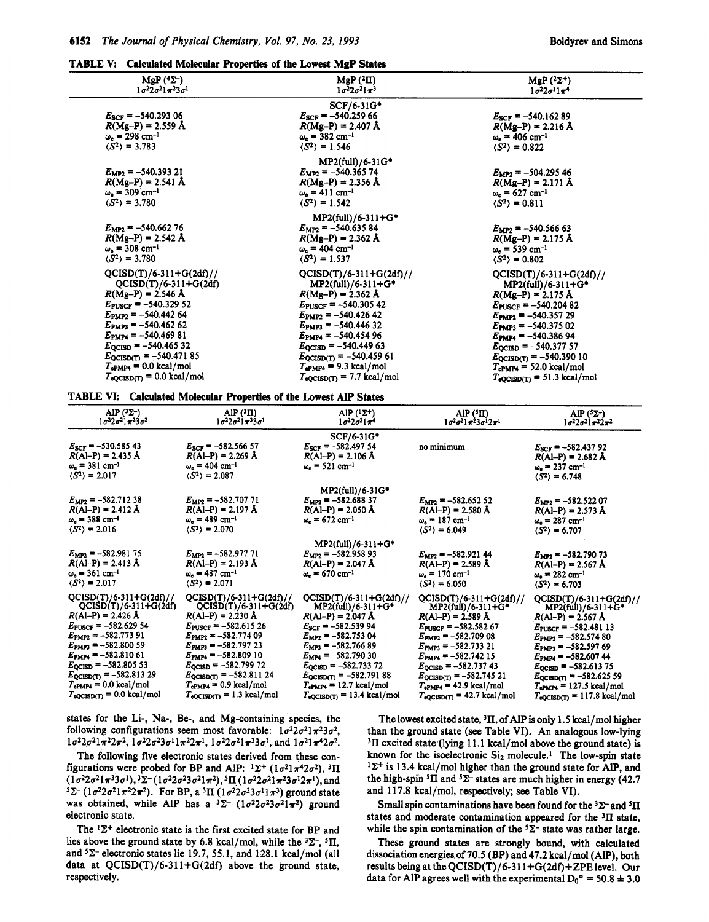TABLE V: Calculated Molecular Properties of the Lowest MgP States

| $MgP(4\Sigma^-)$<br>$1\sigma^22\sigma^21\pi^23\sigma^1$ | $MgP(^2\Pi)$<br>$1\sigma^2 2\sigma^2 1\pi^3$  | MgP $(^{2}\Sigma^{+})$<br>$1\sigma^2 2\sigma^1 1\pi^4$ |
|---------------------------------------------------------|-----------------------------------------------|--------------------------------------------------------|
|                                                         | SCF/6-31G*                                    |                                                        |
| $E_{\text{SCF}} = -540.293\,06$                         | $E_{SCF}$ = -540.259 66                       | $E_{SCF} = -540.16289$                                 |
| $R(Mg-P) = 2.559 \text{ Å}$                             | $R(Mg-P) = 2.407 \text{ Å}$                   | $R(Mg-P) = 2.216 \text{ Å}$                            |
| $\omega_e = 298$ cm <sup>-1</sup>                       | $\omega_e = 382 \text{ cm}^{-1}$              | $\omega_{e} = 406$ cm <sup>-1</sup>                    |
| $\langle S^2 \rangle = 3.783$                           | $\langle S^2 \rangle = 1.546$                 | $\langle S^2 \rangle = 0.822$                          |
|                                                         | MP2(full)/6-31G*                              |                                                        |
| $E_{MP2} = -540.393 21$                                 | $E_{\text{MP2}} = -540.36574$                 | $E_{MP2}$ = -504.295 46                                |
| $R(Mg-P) = 2.541 \text{ Å}$                             | $R(Mg-P) = 2.356 \text{ Å}$                   | $R(Mg-P) = 2.171 \text{ Å}$                            |
| $\omega_e = 309$ cm <sup>-1</sup>                       | $\omega_e = 411$ cm <sup>-1</sup>             | $\omega_e = 627$ cm <sup>-1</sup>                      |
| $\langle S^2 \rangle = 3.780$                           | $\langle S^2 \rangle = 1.542$                 | $\langle S^2 \rangle = 0.811$                          |
|                                                         | MP2(full)/6-311+G*                            |                                                        |
| $E_{\rm MP2} = -540.66276$                              | $E_{MP2}$ = -540.635 84                       | $E_{MP2} = -540.56663$                                 |
| $R(Mg-P) = 2.542 \text{ Å}$                             | $R(Mg-P) = 2.362 \text{ Å}$                   | $R(Mg-P) = 2.175 \text{ Å}$                            |
| $\omega_{\rm e}$ = 308 cm <sup>-1</sup>                 | $\omega_e = 404$ cm <sup>-1</sup>             | $\omega_e$ = 539 cm <sup>-1</sup>                      |
| $\langle S^2 \rangle = 3.780$                           | $\langle S^2 \rangle = 1.537$                 | $\langle S^2 \rangle = 0.802$                          |
|                                                         |                                               |                                                        |
| $QCISD(T)/6-311+G(2df)//$                               | $QCISD(T)/6-311+G(2df)//$                     | $QCISD(T)/6-311+G(2df)//$                              |
| $QCISD(T)/6-311+G(2df)$                                 | $MP2$ (full)/6-311+G*                         | $MP2(full)/6-311+G*$                                   |
| $R(Mg-P) = 2.546$ Å                                     | $R(Mg-P) = 2.362$ Å                           | $R(Mg-P) = 2.175 \text{ Å}$                            |
| $E_{\text{PUSCF}} = -540.32952$                         | $E_{\text{PUSCF}} = -540.30542$               | $E_{\text{PUSCF}} = -540.20482$                        |
| $E_{\text{PMP2}} = -540.44264$                          | $E_{\text{PMP2}} = -540.42642$                | $E_{\text{PMP2}} = -540.35729$                         |
| $E_{\text{PMP3}} = -540.46262$                          | $E_{\text{PMP3}} = -540.44632$                | $E_{\text{PMP3}} = -540.37502$                         |
| $E_{\text{PMP4}} = -540.46981$                          | $E_{\text{PMP4}} = -540.45496$                | $E_{\text{PMP4}} = -540.38694$                         |
| $E_{\text{QCISD}} = -540.46532$                         | $E_{\text{QCISD}} = -540.44963$               | $E_{\text{QCISD}} = -540.37757$                        |
| $E_{QCISD(T)} = -540.47185$                             | $E_{QCISD(T)} = -540.45961$                   | $E_{QCISD(T)} = -540.39010$                            |
| $T_{\rm ePMP4}$ = 0.0 kcal/mol                          | $T_{ePMP4}$ = 9.3 kcal/mol                    | $T_{\rm ePMP4}$ = 52.0 kcal/mol                        |
| $T_{\text{eQCISD}(T)} = 0.0 \text{ kcal/mol}$           | $T_{\text{eQCISD(T)}} = 7.7 \text{ kcal/mol}$ | $T_{\text{eQCISD(T)}} = 51.3 \text{ kcal/mol}$         |



| AlP $(^{3}\Sigma^{-})$                        | $AIP(^{3}II)$                       | AlP $(1\Sigma^+)$                              | $AIP$ ( ${}^{5}$ II)                           | AlP $(^{5}\Sigma^{-})$                          |
|-----------------------------------------------|-------------------------------------|------------------------------------------------|------------------------------------------------|-------------------------------------------------|
| $1\sigma^2 2\sigma^2 1\pi^2 3\sigma^2$        | $1\sigma^22\sigma^21\pi^33\sigma^1$ | $1\sigma^2 2\sigma^2 1\pi^4$                   | $1\sigma^2\sigma^21\pi^23\sigma^12\pi^1$       | $1\sigma^2 2\sigma^2 1\pi^2 2\pi^2$             |
| $E_{SCF} = -530.58543$                        | $E_{SCF}$ = -582.566 57             | SCF/6-31G*                                     | no minimum                                     | $E_{SCF} = -582.43792$                          |
| $R(AI-P) = 2.435 \text{ Å}$                   | $R(AI-P) = 2.269$ Å                 | $E_{SCF}$ = -582.497 54                        |                                                | $R(AI-P) = 2.682 \text{ Å}$                     |
| $\omega_e = 381$ cm <sup>-1</sup>             | $\omega_e = 404$ cm <sup>-1</sup>   | $R(AI-P) = 2.106 \text{ Å}$                    |                                                | $\omega_{\rm e} = 237 \, \rm cm^{-1}$           |
| $\langle S^2 \rangle = 2.017$                 | $\langle S^2 \rangle = 2.087$       | $\omega_e = 521$ cm <sup>-1</sup>              |                                                | $\langle S^2 \rangle = 6.748$                   |
| $E_{MP2} = -582.71238$                        | $E_{MP2}$ = -582.707 71             | $MP2(full)/6-31G*$                             | $E_{MP2} = -582.65252$                         | $E_{MP2} = -582.522.07$                         |
| $R(AI-P) = 2.412 A$                           | $R(AI-P) = 2.197 \text{ Å}$         | $E_{MP2} = -582.68837$                         | $R(AI-P) = 2.580 \text{ Å}$                    | $R(AI-P) = 2.573 \text{ Å}$                     |
| $\omega_e = 388$ cm <sup>-1</sup>             | $\omega_e = 489$ cm <sup>-1</sup>   | $R(AI-P) = 2.050 \text{ Å}$                    | $\omega_e = 187$ cm <sup>-1</sup>              | $\omega_e = 287$ cm <sup>-1</sup>               |
| $\langle S^2 \rangle = 2.016$                 | $\langle S^2 \rangle = 2.070$       | $\omega_e = 672$ cm <sup>-1</sup>              | $\langle S^2 \rangle = 6.049$                  | $\langle S^2 \rangle = 6.707$                   |
| $E_{MP2} = -582.98175$                        | $E_{MP2} = -582.977.71$             | $MP2(full)/6-311+G*$                           | $E_{MP2} = -582.92144$                         | $E_{MP2} = -582.79073$                          |
| $R(AI-P) = 2.413 \text{ Å}$                   | $R(AI-P) = 2.193 \text{ Å}$         | $E_{MP2} = -582.95893$                         | $R(AI-P) = 2.589 \text{ Å}$                    | $R(AI-P) = 2.567 \text{ Å}$                     |
| $\omega_{\rm e} = 361 \text{ cm}^{-1}$        | $\omega_{e}$ = 487 cm <sup>-1</sup> | $R(AI-P) = 2.047 \text{ Å}$                    | $\omega_{\rm s} = 170 \text{ cm}^{-1}$         | $\omega_e = 282$ cm <sup>-1</sup>               |
| $\langle S^2 \rangle = 2.017$                 | $\langle S^2 \rangle = 2.071$       | $\omega_e = 670 \text{ cm}^{-1}$               | $\langle S^2 \rangle = 6.050$                  | $\langle S^2 \rangle = 6.703$                   |
| $QCISD(T)/6-311+G(2df)//$                     | $QCISD(T)/6-311+G(2df)//$           | $QCISD(T)/6-311+G(2df)/7$                      | QCISD(T)/6-311+G(2df)//                        | QCISD(T)/6-311+G(2df)//                         |
| $QCISD(T)/6-311+G(2df)$                       | $QCISD(T)/6-311+G(2df)$             | $MP2$ (full)/6-311+ $G^*$                      | MP2(full)/6-311+G*                             | $MP2$ (full)/6-311+ $G^*$                       |
| $R(AI-P) = 2.426 \text{ Å}$                   | $R(AI-P) = 2.230 A$                 | $R(AI-P) = 2.047 \text{ Å}$                    | $R(AI-P) = 2.589 A$                            | $R(AI-P) = 2.567 A$                             |
| $E_{\text{PUSCF}} = -582.62954$               | $E_{\text{PUSCF}} = -582.61526$     | $E_{SCF} = -582.53994$                         | $E_{\text{PUSCF}} = -582.58267$                | $E_{\text{PUSCF}} = -582.48113$                 |
| $E_{\text{PMP2}} = -582.77391$                | $E_{\text{PMP2}} = -582.77409$      | $E_{MP2}$ = -582.753 04                        | $E_{\text{PMP2}} = -582.70908$                 | $E_{\text{PMP2}} = -582.57480$                  |
| $E_{\text{PMP3}} = -582.80059$                | $E_{\text{PMP3}} = -582.79723$      | $E_{MP3}$ = -582.766 89                        | $E_{\text{PMP3}} = -582.73321$                 | $E_{PMP3}$ = -582.597 69                        |
| $E_{\text{PMPA}} = -582.81061$                | $E_{\text{PMP4}} = -582.80910$      | $E_{MP4} = -582.79030$                         | $E_{\text{PMPA}} = -582.74215$                 | $E_{\text{PMPA}} = -582.60744$                  |
| $E_{\text{QCISD}} = -582.80553$               | $E_{\text{QCISD}} = -582.79972$     | $E_{\text{QCISD}} = -582.73372$                | $E_{\text{QCISD}} = -582.73743$                | $E_{\text{QCISD}} = -582.61375$                 |
| $E_{\text{QCISD(T)}} = -582.81329$            | $E_{QCISD(T)} = -582.81124$         | $E_{\text{QCISD(T)}} = -582.79188$             | $E_{QCISD(T)} = -582.74521$                    | $E_{QCISD(T)} = -582.62559$                     |
| $T_{\rm ePMPA}$ = 0.0 kcal/mol                | $T_{\rm ePMPA}$ = 0.9 kcal/mol      | $T_{ePMPA}$ = 12.7 kcal/mol                    | $T_{ePMP4}$ = 42.9 kcal/mol                    | $T_{\rm ePMP4}$ = 127.5 kcal/mol                |
| $T_{\text{eQCISD(T)}} = 0.0 \text{ kcal/mol}$ | $T_{eQCISD(T)} = 1.3$ kcal/mol      | $T_{\text{eQCISD(T)}} = 13.4 \text{ kcal/mol}$ | $T_{\text{eQCISD(T)}} = 42.7 \text{ kcal/mol}$ | $T_{\text{eQCISD(T)}} = 117.8 \text{ kcal/mol}$ |

states for the Li-, Na-, Be-, and Mg-containing species, the following configurations seem most favorable:  $1\sigma^2 2\sigma^2 1\pi^2 3\sigma^2$ ,  $1\sigma^2 2\sigma^2 1\pi^2 2\pi^2$ ,  $1\sigma^2 2\sigma^2 3\sigma^1 1\pi^2 2\pi^1$ ,  $1\sigma^2 2\sigma^2 1\pi^3 3\sigma^1$ , and  $1\sigma^2 1\pi^4 2\sigma^2$ .

The following five electronic states derived from these configurations were probed for BP and AlP:  ${}^{1}\Sigma^{+}$  ( $1\sigma^{2}1\pi^{4}2\sigma^{2}$ ),  ${}^{3}\Pi$  $(1\sigma^22\sigma^21\pi^33\sigma^1), {}^3\Sigma^-(1\sigma^22\sigma^23\sigma^21\pi^2), {}^5\Pi (1\sigma^22\sigma^21\pi^23\sigma^12\pi^1),$  and  ${}^{5}\Sigma^{-} (1\sigma^{2}2\sigma^{2}1\pi^{2}2\pi^{2})$ . For BP, a <sup>3</sup>II  $(1\sigma^{2}2\sigma^{2}3\sigma^{1}1\pi^{3})$  ground state was obtained, while AlP has a  ${}^{3}\Sigma^{-}$  ( $1\sigma^{2}2\sigma^{2}3\sigma^{2}1\pi^{2}$ ) ground electronic state.

The  ${}^{1}\Sigma^{+}$  electronic state is the first excited state for BP and lies above the ground state by 6.8 kcal/mol, while the  $3\Sigma$ <sup>-</sup>,  $5\Pi$ , and **2-** electronic states lie **19.7,** 55.1, and 128.1 kcal/mol (all data at  $QCISD(T)/6-311+G(2df)$  above the ground state, respectively.

The lowest excited state, **3rI.** of Alp is only 1.5 kcal/mol higher than the ground state (see Table **VI).** An analogous low-lying **3rI** excited state (lying 11.1 kcal/mol above the ground state) is known for the isoelectronic  $Si<sub>2</sub>$  molecule.<sup>1</sup> The low-spin state  $1\Sigma^+$  is 13.4 kcal/mol higher than the ground state for AlP, and the high-spin  ${}^{5}$ II and  ${}^{5}$  $\Sigma$ - states are much higher in energy (42.7) and 117.8 kcal/mol, respectively; **see** Table **VI).** 

Small spin contaminations have been found for the  ${}^{3}\Sigma^{-}$  and  ${}^{5}\Pi$ states and moderate contamination appeared for the **3rI** state, while the spin contamination of the  ${}^{5}\Sigma^{-}$  state was rather large.

These ground states are strongly bound, with calculated dissociation energies of 70.5 (BP) and 47.2 kcal/mol (Alp), both results being at theQCISD(T)/6-31 l+G(Zdf)+ZPElevel. Our data for AlP agrees well with the experimental  $D_0^{\circ} = 50.8 \pm 3.0$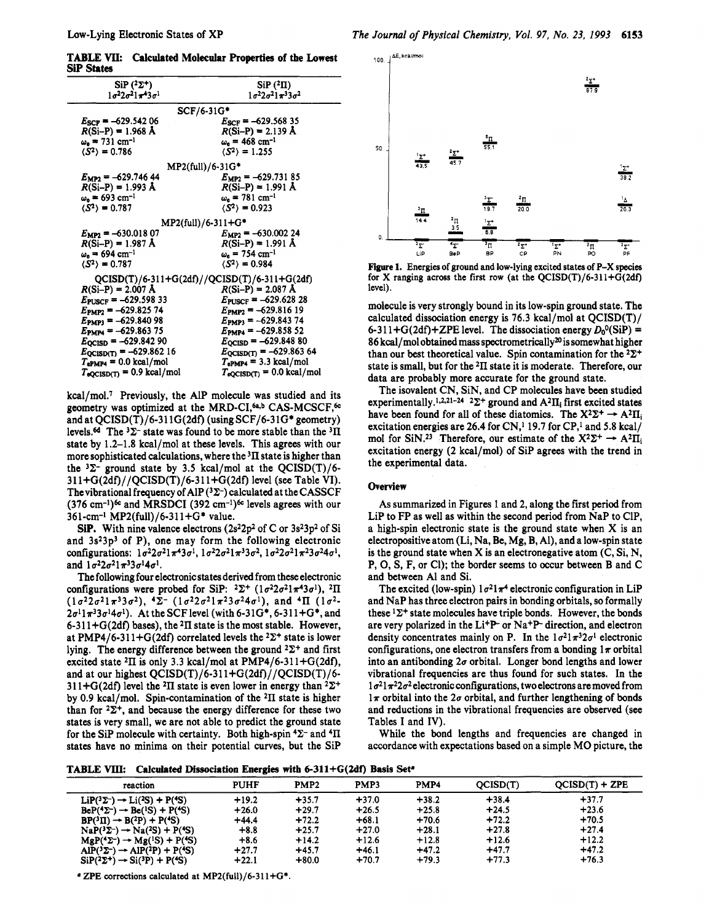**TABLE W: Calculated Molecular Properties of** the **Lowest si States** 

| $\rm SiP$ ( <sup>2</sup> $\rm Z^{+}$ )<br>$1\sigma^2 2\sigma^2 1\pi^4 3\sigma^1$ | $SiP(2\Pi)$<br>$1\sigma^22\sigma^21\pi^33\sigma^2$ |
|----------------------------------------------------------------------------------|----------------------------------------------------|
|                                                                                  |                                                    |
|                                                                                  | $SCF/6-31G*$                                       |
| $E_{SCF} = -629.54206$                                                           | $E_{SCF} = -629.56835$                             |
| $R(Si-P) = 1.968 \text{ Å}$                                                      | $R(Si-P) = 2.139 \text{ Å}$                        |
| $\omega_{\rm e} = 731 \, \rm cm^{-1}$                                            | $\omega_e = 468$ cm <sup>-1</sup>                  |
| $\langle S^2 \rangle = 0.786$                                                    | $\langle S^2 \rangle = 1.255$                      |
|                                                                                  | $MP2(full)/6.31G*$                                 |
| $E_{MP2}$ = -629.746 44                                                          | $E_{MP2} = -629.73185$                             |
| $R(Si-P) = 1.993 \text{ Å}$                                                      | $R(Si-P) = 1.991 \text{ Å}$                        |
| $\omega_{\rm e} = 693 \text{ cm}^{-1}$                                           | $\omega_e = 781 \text{ cm}^{-1}$                   |
| $\langle S^2 \rangle = 0.787$                                                    | $\langle S^2 \rangle = 0.923$                      |
|                                                                                  |                                                    |
|                                                                                  | MP2(full)/6-311+G*                                 |
| $E_{MP2} = -630.01807$                                                           | $E_{MP2} = -630.00224$                             |
| $R(Si-P) = 1.987 \text{ Å}$                                                      | $R(Si-P) = 1.991 \text{ Å}$                        |
| $\omega_{\rm s}$ = 694 cm <sup>-1</sup>                                          | $\omega_{e} = 754 \text{ cm}^{-1}$                 |
| $\langle S^2 \rangle = 0.787$                                                    | $\langle S^2 \rangle = 0.984$                      |
|                                                                                  | $QCISD(T)/6-311+G(2df)/QCISD(T)/6-311+G(2df)$      |
| $R(Si-P) = 2.007 \text{ Å}$                                                      | $R(Si-P) = 2.087 \text{ Å}$                        |
| $E_{\text{PUSCF}} = -629.59833$                                                  | $E_{\text{PUSCF}} = -629.62828$                    |
| $E_{\text{PMP2}} = -629.82574$                                                   | $E_{\text{PMP2}} = -629.81619$                     |
| $E_{\text{PMP3}} = -629.84098$                                                   | $E_{\text{PMP3}} = -629.84374$                     |
| $E_{\text{PMP4}} = -629.86375$                                                   | $E_{\text{PMP4}} = -629.85852$                     |
| $E_{\text{QCISD}} = -629.84290$                                                  | $E_{\text{QCISD}} = -629.84880$                    |
| $E_{QCISD(T)} = -629.86216$                                                      | $E_{QCISD(T)} = -629.86364$                        |
| $T_{\rm ePMPA}$ = 0.0 kcal/mol                                                   | $T_{\rm ePMPA}$ = 3.3 kcal/mol                     |
| $T_{\text{eQCISD(T)}} = 0.9 \text{ kcal/mol}$                                    | $T_{\text{eQCISD(T)}} = 0.0 \text{ kcal/mol}$      |
|                                                                                  |                                                    |

kcal/moL7 Previously, the A1P molecule was studied and its geometry was optimized at the MRD-CI,<sup>6a,b</sup> CAS-MCSCF,<sup>6c</sup> and at QCISD(T)/6-31 lG(2df) (using SCF/6-31G\* geometry) levels.6d The **'2-** state was found to be more stable than the **311**  state by 1.2-1.8 kcal/mol at these levels. This agrees with our more sophisticated calculations, where the  ${}^{3}$ II state is higher than the  $3\Sigma$ - ground state by 3.5 kcal/mol at the QCISD(T)/6-31 l+G(2df)//QCISD(T)/6-31 1+G(2df) level (see Table VI). Thevibrational frequency of AlP **(32-)** calculated at theCASSCF  $(376 \text{ cm}^{-1})$ <sup>6c</sup> and MRSDCI  $(392 \text{ cm}^{-1})$ <sup>6c</sup> levels agrees with our 361-cm-I MP2(fu11)/6-311+G\* value.

**SiP.** With nine valence electrons  $(2s^22p^2 \text{ of } C \text{ or } 3s^23p^2 \text{ of } Si)$ and  $3s<sup>2</sup>3p<sup>3</sup>$  of P), one may form the following electronic configurations:  $1\sigma^2 2\sigma^2 1\pi^4 3\sigma^1$ ,  $1\sigma^2 2\sigma^2 1\pi^3 3\sigma^2$ ,  $1\sigma^2 2\sigma^2 1\pi^2 3\sigma^2 4\sigma^1$ , and  $1\sigma^2 2\sigma^2 1\pi^3 3\sigma^1 4\sigma^1$ .

The following four electronic states derived from these electronic configurations were probed for SiP:  $2\Sigma^+$  ( $1\sigma^22\sigma^21\pi^43\sigma^1$ ),  $2\Pi$  $(1\sigma^2 2\sigma^2 1\pi^3 3\sigma^2),$   $\angle^2$   $(1\sigma^2 2\sigma^2 1\pi^2 3\sigma^2 4\sigma^1),$  and  $\angle^4\Pi$   $(1\sigma^2 2\sigma^{1}1\pi^{3}3\sigma^{1}4\sigma^{1}$ ). At the SCF level (with 6-31G\*, 6-311+G\*, and 6-31 1+G(2df) bases), the **211** state is the most stable. However, at PMP4/6-311+G(2df) correlated levels the  $2\Sigma^+$  state is lower lying. The energy difference between the ground  $2\Sigma^+$  and first excited state  ${}^{2}$ II is only 3.3 kcal/mol at PMP4/6-311+G(2df), and at our highest  $QCISD(T)/6-311+G(2df)/QCISD(T)/6-$ 311+G(2df) level the <sup>2</sup>II state is even lower in energy than  $2\Sigma^+$ by 0.9 kcal/mol. Spin-contamination of the  $2\Pi$  state is higher than for  $2\Sigma^+$ , and because the energy difference for these two states is very small, we are not able to predict the ground state for the SiP molecule with certainty. Both high-spin  $4\Sigma$ - and  $4\Pi$ states have no minima on their potential curves, but the Sip



**Figure 1.** Energies of ground and low-lying excited **staka** of P-X species for X ranging across the first row (at the  $QCISD(T)/6-311+G(2df)$ level).

molecule is very strongly bound in its low-spin ground state. The calculated dissociation energy is 76.3 kcal/mol at QCISD(T)/ 6-311+G(2df)+ZPE level. The dissociation energy  $D_0^0(SiP)$  =  $86$  kcal/mol obtained mass spectrometrically $20$  is somewhat higher than our best theoretical value. Spin contamination for the  $2\Sigma^+$ state is small, but for the **211** state it is moderate. Therefore, our data are probably more accurate for the ground state.

The isovalent CN, SiN, and CP molecules have been studied experimentally.<sup>1,2,21-24</sup> <sup>2</sup> $\Sigma$ <sup>+</sup> ground and  $A^2\Pi_i$  first excited states have been found for all of these diatomics. The  $X^2\Sigma^+ \rightarrow A^2\Pi_i$ excitation energies are 26.4 for  $CN<sup>1</sup>$  19.7 for  $CP<sup>1</sup>$  and 5.8 kcal/ mol for SiN.<sup>23</sup> Therefore, our estimate of the  $X^2\Sigma^+ \rightarrow A^2\Pi_i$ excitation energy (2 kcal/mol) of Sip agrees with the trend in the experimental data.

#### **Overview**

As summarized in Figures **1** and 2, along the first period from Lip to FP as well as within the second period from NaP to ClP, a high-spin electronic state is the ground state when **X** is an electropositive atom (Li, Na, Be, Mg, B, Al), and a low-spin state is the ground state when **X** is an electronegative atom (C, Si, N, P, 0, **S,** F, or Cl); the border seems to occur between **B** and C and between A1 and Si.

The excited (low-spin)  $1\sigma^2 1\pi^4$  electronic configuration in LiP and NaP has three electron pairs in bonding orbitals, **so** formally these  $1\Sigma^+$  state molecules have triple bonds. However, the bonds are very polarized in the Li<sup>+</sup>P<sup>-</sup> or Na<sup>+</sup>P<sup>-</sup> direction, and electron density concentrates mainly on P. In the  $1\sigma^2 1\pi^3 2\sigma^1$  electronic configurations, one electron transfers from a bonding  $1\pi$  orbital into an antibonding  $2\sigma$  orbital. Longer bond lengths and lower vibrational frequencies are thus found for such states. In the  $1\sigma^2$  $\pi^2$  $2\sigma^2$  electronic configurations, two electrons are moved from  $1\pi$  orbital into the  $2\sigma$  orbital, and further lengthening of bonds and reductions in the vibrational frequencies are observed (see Tables I and IV).

While the bond lengths and frequencies are changed in accordance with expectations based on a simple MO picture, the

**TABLE** VIIk **Calculated Dissociation Energies with 6-311+G(2df) Basis Set.** 

| reaction                                                         | <b>PUHF</b> | PMP <sub>2</sub> | PMP3    | PMP <sub>4</sub> | QCISD(T) | $QCISD(T) + ZPE$ |
|------------------------------------------------------------------|-------------|------------------|---------|------------------|----------|------------------|
| $\text{LiP}(3\Sigma^-) \rightarrow \text{Li}(2S) + \text{P}(4S)$ | $+19.2$     | $+35.7$          | $+37.0$ | $+38.2$          | $+38.4$  | $+37.7$          |
| $BeP(^{4}\Sigma^{-}) \rightarrow Be(^{1}S) + P(^{4}S)$           | $+26.0$     | $+29.7$          | $+26.5$ | $+25.8$          | $+24.5$  | $+23.6$          |
| $BP(^3\Pi) \rightarrow B(^2P) + P(^4S)$                          | $+44.4$     | $+72.2$          | $+68.1$ | $+70.6$          | $+72.2$  | $+70.5$          |
| $NaP({}^{3}\Sigma^{-}) \rightarrow Na({}^{2}S) + P({}^{4}S)$     | $+8.8$      | $+25.7$          | $+27.0$ | $+28.1$          | $+27.8$  | $+27.4$          |
| $MgP(^{4}\Sigma^{-}) \rightarrow Mg(^{1}S) + P(^{4}S)$           | $+8.6$      | $+14.2$          | $+12.6$ | $+12.8$          | $+12.6$  | $+12.2$          |
| $AIP(^{3}\Sigma^{-}) \rightarrow AIP(^{2}P) + P(^{4}S)$          | $+27.7$     | $+45.7$          | $+46.1$ | $+47.2$          | $+47.7$  | $+47.2$          |
| $SiP(^{2}\Sigma^{+}) \rightarrow Si(^{3}P) + P(^{4}S)$           | $+22.1$     | $+80.0$          | $+70.7$ | $+79.3$          | $+77.3$  | $+76.3$          |

 $\alpha$  ZPE corrections calculated at MP2(full)/6-311+G\*.